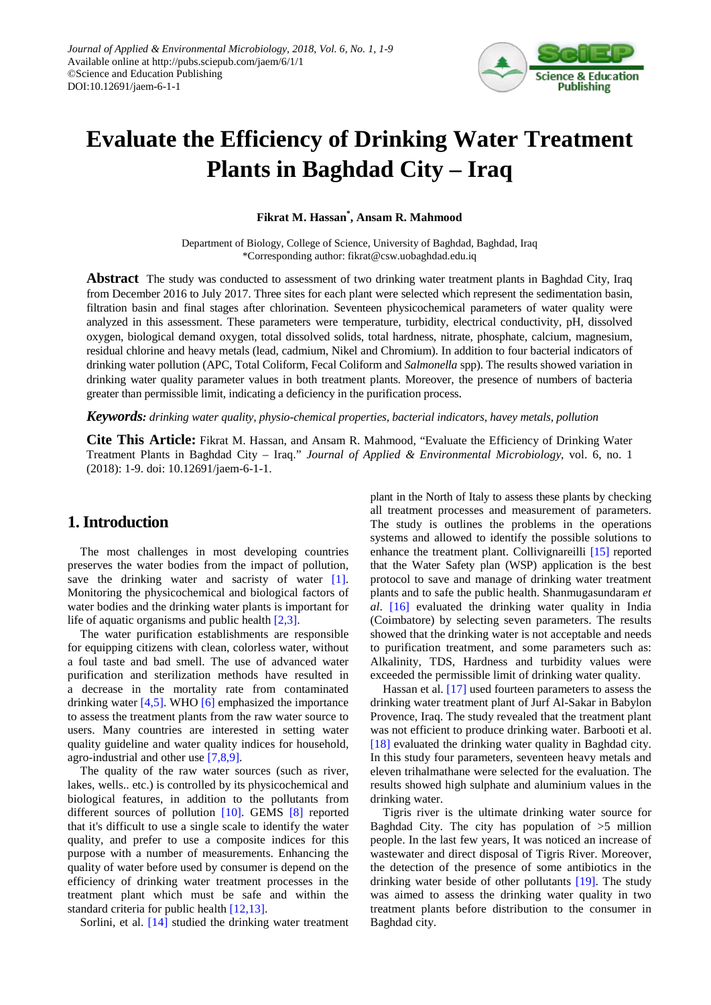

# **Evaluate the Efficiency of Drinking Water Treatment Plants in Baghdad City – Iraq**

**Fikrat M. Hassan\* , Ansam R. Mahmood**

Department of Biology, College of Science, University of Baghdad, Baghdad, Iraq \*Corresponding author: fikrat@csw.uobaghdad.edu.iq

**Abstract** The study was conducted to assessment of two drinking water treatment plants in Baghdad City, Iraq from December 2016 to July 2017. Three sites for each plant were selected which represent the sedimentation basin, filtration basin and final stages after chlorination. Seventeen physicochemical parameters of water quality were analyzed in this assessment. These parameters were temperature, turbidity, electrical conductivity, pH, dissolved oxygen, biological demand oxygen, total dissolved solids, total hardness, nitrate, phosphate, calcium, magnesium, residual chlorine and heavy metals (lead, cadmium, Nikel and Chromium). In addition to four bacterial indicators of drinking water pollution (APC, Total Coliform, Fecal Coliform and *Salmonella* spp). The results showed variation in drinking water quality parameter values in both treatment plants. Moreover, the presence of numbers of bacteria greater than permissible limit, indicating a deficiency in the purification process.

*Keywords: drinking water quality, physio-chemical properties, bacterial indicators, havey metals, pollution*

**Cite This Article:** Fikrat M. Hassan, and Ansam R. Mahmood, "Evaluate the Efficiency of Drinking Water Treatment Plants in Baghdad City – Iraq." *Journal of Applied & Environmental Microbiology*, vol. 6, no. 1 (2018): 1-9. doi: 10.12691/jaem-6-1-1.

## **1. Introduction**

The most challenges in most developing countries preserves the water bodies from the impact of pollution, save the drinking water and sacristy of water [\[1\].](#page-6-0) Monitoring the physicochemical and biological factors of water bodies and the drinking water plants is important for life of aquatic organisms and public healt[h \[2,3\].](#page-6-1)

The water purification establishments are responsible for equipping citizens with clean, colorless water, without a foul taste and bad smell. The use of advanced water purification and sterilization methods have resulted in a decrease in the mortality rate from contaminated drinking water [\[4,5\].](#page-6-2) WHO [\[6\]](#page-6-3) emphasized the importance to assess the treatment plants from the raw water source to users. Many countries are interested in setting water quality guideline and water quality indices for household, agro-industrial and other use [\[7,8,9\].](#page-6-4)

The quality of the raw water sources (such as river, lakes, wells.. etc.) is controlled by its physicochemical and biological features, in addition to the pollutants from different sources of pollution [\[10\].](#page-7-0) GEMS [\[8\]](#page-7-1) reported that it's difficult to use a single scale to identify the water quality, and prefer to use a composite indices for this purpose with a number of measurements. Enhancing the quality of water before used by consumer is depend on the efficiency of drinking water treatment processes in the treatment plant which must be safe and within the standard criteria for public health [\[12,13\].](#page-7-2)

Sorlini, et al. [\[14\]](#page-7-3) studied the drinking water treatment

plant in the North of Italy to assess these plants by checking all treatment processes and measurement of parameters. The study is outlines the problems in the operations systems and allowed to identify the possible solutions to enhance the treatment plant. Collivignareilli [\[15\]](#page-7-4) reported that the Water Safety plan (WSP) application is the best protocol to save and manage of drinking water treatment plants and to safe the public health. Shanmugasundaram *et al*. [\[16\]](#page-7-5) evaluated the drinking water quality in India (Coimbatore) by selecting seven parameters. The results showed that the drinking water is not acceptable and needs to purification treatment, and some parameters such as: Alkalinity, TDS, Hardness and turbidity values were exceeded the permissible limit of drinking water quality.

Hassan et al. [\[17\]](#page-7-6) used fourteen parameters to assess the drinking water treatment plant of Jurf Al-Sakar in Babylon Provence, Iraq. The study revealed that the treatment plant was not efficient to produce drinking water. Barbooti et al. [\[18\]](#page-7-7) evaluated the drinking water quality in Baghdad city. In this study four parameters, seventeen heavy metals and eleven trihalmathane were selected for the evaluation. The results showed high sulphate and aluminium values in the drinking water.

Tigris river is the ultimate drinking water source for Baghdad City. The city has population of >5 million people. In the last few years, It was noticed an increase of wastewater and direct disposal of Tigris River. Moreover, the detection of the presence of some antibiotics in the drinking water beside of other pollutants [\[19\].](#page-7-8) The study was aimed to assess the drinking water quality in two treatment plants before distribution to the consumer in Baghdad city.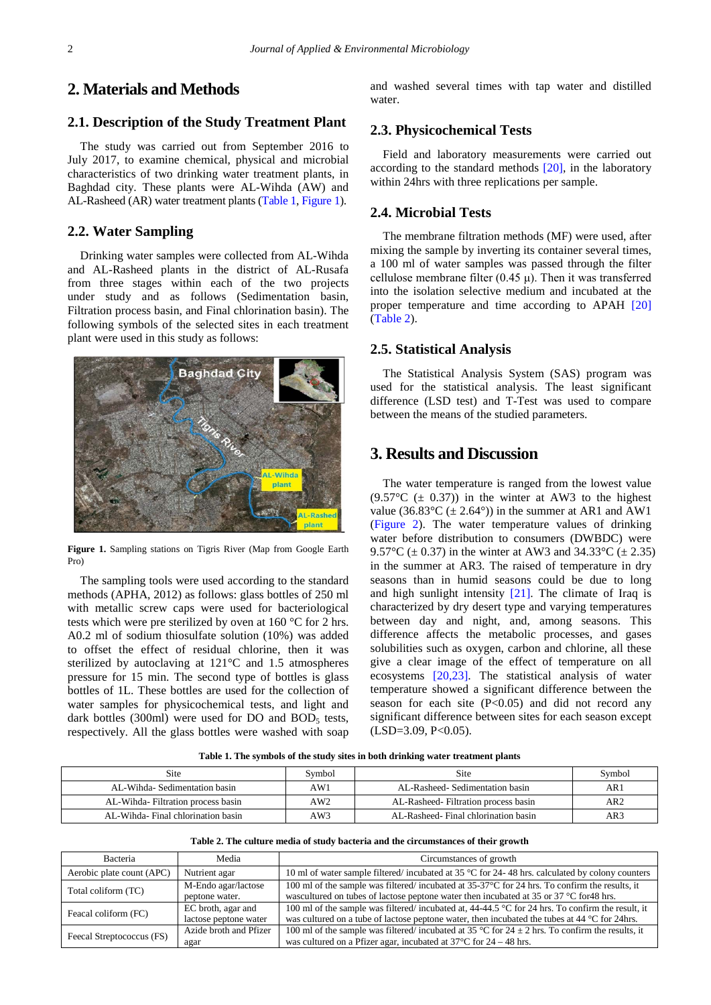## **2. Materials and Methods**

#### **2.1. Description of the Study Treatment Plant**

The study was carried out from September 2016 to July 2017, to examine chemical, physical and microbial characteristics of two drinking water treatment plants, in Baghdad city. These plants were AL-Wihda (AW) and AL-Rasheed (AR) water treatment plants [\(Table 1,](#page-1-0) [Figure 1\)](#page-1-1).

#### **2.2. Water Sampling**

Drinking water samples were collected from AL-Wihda and AL-Rasheed plants in the district of AL-Rusafa from three stages within each of the two projects under study and as follows (Sedimentation basin, Filtration process basin, and Final chlorination basin). The following symbols of the selected sites in each treatment plant were used in this study as follows:

<span id="page-1-1"></span>

**Figure 1.** Sampling stations on Tigris River (Map from Google Earth Pro)

The sampling tools were used according to the standard methods (APHA, 2012) as follows: glass bottles of 250 ml with metallic screw caps were used for bacteriological tests which were pre sterilized by oven at 160 °C for 2 hrs. A0.2 ml of sodium thiosulfate solution (10%) was added to offset the effect of residual chlorine, then it was sterilized by autoclaving at 121°C and 1.5 atmospheres pressure for 15 min. The second type of bottles is glass bottles of 1L. These bottles are used for the collection of water samples for physicochemical tests, and light and dark bottles (300ml) were used for  $DO$  and  $BOD<sub>5</sub>$  tests, respectively. All the glass bottles were washed with soap

and washed several times with tap water and distilled water.

### **2.3. Physicochemical Tests**

Field and laboratory measurements were carried out according to the standard methods [\[20\],](#page-7-9) in the laboratory within 24hrs with three replications per sample.

#### **2.4. Microbial Tests**

The membrane filtration methods (MF) were used, after mixing the sample by inverting its container several times, a 100 ml of water samples was passed through the filter cellulose membrane filter  $(0.45 \mu)$ . Then it was transferred into the isolation selective medium and incubated at the proper temperature and time according to APAH [\[20\]](#page-7-9) [\(Table 2\)](#page-1-2).

#### **2.5. Statistical Analysis**

The Statistical Analysis System (SAS) program was used for the statistical analysis. The least significant difference (LSD test) and T-Test was used to compare between the means of the studied parameters.

## **3. Results and Discussion**

The water temperature is ranged from the lowest value  $(9.57^{\circ}C \ (\pm 0.37))$  in the winter at AW3 to the highest value (36.83 $^{\circ}$ C ( $\pm$  2.64 $^{\circ}$ )) in the summer at AR1 and AW1 [\(Figure 2\)](#page-2-0). The water temperature values of drinking water before distribution to consumers (DWBDC) were 9.57°C ( $\pm$  0.37) in the winter at AW3 and 34.33°C ( $\pm$  2.35) in the summer at AR3. The raised of temperature in dry seasons than in humid seasons could be due to long and high sunlight intensity  $[21]$ . The climate of Iraq is characterized by dry desert type and varying temperatures between day and night, and, among seasons. This difference affects the metabolic processes, and gases solubilities such as oxygen, carbon and chlorine, all these give a clear image of the effect of temperature on all ecosystems [\[20,23\].](#page-7-9) The statistical analysis of water temperature showed a significant difference between the season for each site  $(P<0.05)$  and did not record any significant difference between sites for each season except  $(LSD=3.09, P<0.05)$ .

|  |  |  |  |  |  |  |  |  | Table 1. The symbols of the study sites in both drinking water treatment plants |  |
|--|--|--|--|--|--|--|--|--|---------------------------------------------------------------------------------|--|
|--|--|--|--|--|--|--|--|--|---------------------------------------------------------------------------------|--|

<span id="page-1-0"></span>

| Site                              | Symbol | Site                                | Symbol |
|-----------------------------------|--------|-------------------------------------|--------|
| AL-Wihda-Sedimentation basin      | AW1    | AL-Rasheed-Sedimentation basin      | AR 1   |
| AL-Wihda-Filtration process basin | AW2    | AL-Rasheed-Filtration process basin | AR2    |
| AL-Wihda-Final chlorination basin | AW3    | AL-Rasheed-Final chlorination basin | AR3    |

<span id="page-1-2"></span>

| Bacteria                  | Media                  | Circumstances of growth                                                                             |
|---------------------------|------------------------|-----------------------------------------------------------------------------------------------------|
| Aerobic plate count (APC) | Nutrient agar          | 10 ml of water sample filtered/ incubated at 35 °C for 24-48 hrs. calculated by colony counters     |
| Total coliform (TC)       | M-Endo agar/lactose    | 100 ml of the sample was filtered/incubated at $35-37$ °C for 24 hrs. To confirm the results, it    |
|                           | peptone water.         | wascultured on tubes of lactose peptone water then incubated at 35 or 37 $\degree$ C for 48 hrs.    |
| Feacal coliform (FC)      | EC broth, agar and     | 100 ml of the sample was filtered/ incubated at, $44-44.5$ °C for 24 hrs. To confirm the result, it |
|                           | lactose peptone water  | was cultured on a tube of lactose peptone water, then incubated the tubes at 44 °C for 24hrs.       |
| Feecal Streptococcus (FS) | Azide broth and Pfizer | 100 ml of the sample was filtered/incubated at 35 °C for 24 $\pm$ 2 hrs. To confirm the results, it |
|                           | agar                   | was cultured on a Pfizer agar, incubated at $37^{\circ}$ C for $24 - 48$ hrs.                       |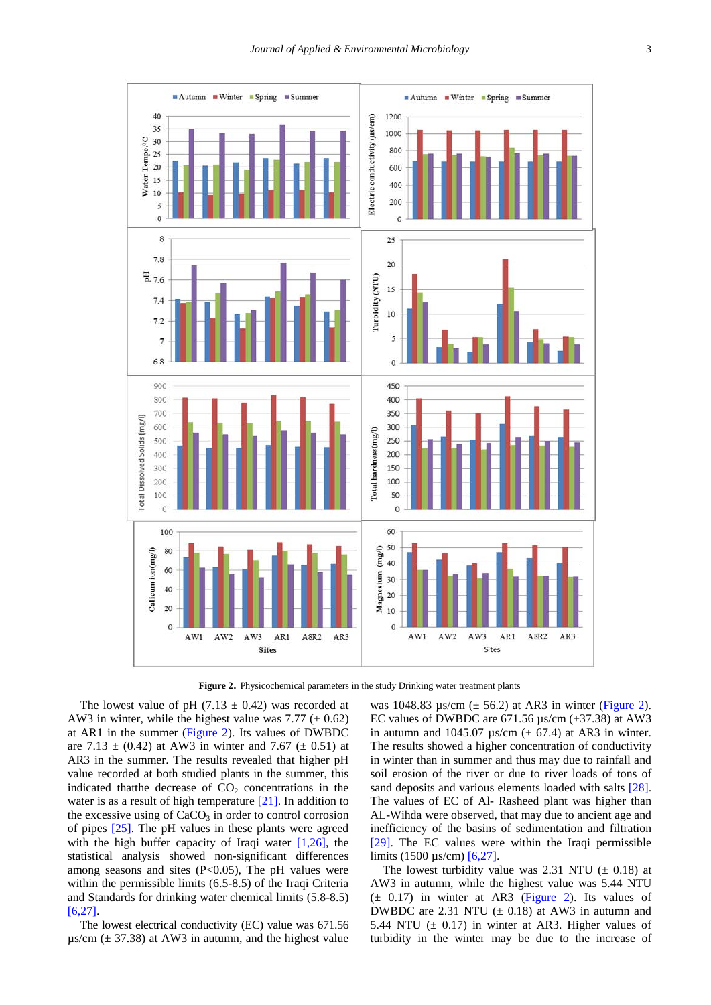<span id="page-2-0"></span>

**Figure 2**. Physicochemical parameters in the study Drinking water treatment plants

The lowest value of pH  $(7.13 \pm 0.42)$  was recorded at AW3 in winter, while the highest value was  $7.77 (\pm 0.62)$ at AR1 in the summer [\(Figure 2\)](#page-2-0). Its values of DWBDC are 7.13  $\pm$  (0.42) at AW3 in winter and 7.67 ( $\pm$  0.51) at AR3 in the summer. The results revealed that higher pH value recorded at both studied plants in the summer, this indicated that the decrease of  $CO<sub>2</sub>$  concentrations in the water is as a result of high temperature [\[21\].](#page-7-10) In addition to the excessive using of CaCO<sub>3</sub> in order to control corrosion of pipes [\[25\].](#page-7-11) The pH values in these plants were agreed with the high buffer capacity of Iraqi water  $[1,26]$ , the statistical analysis showed non-significant differences among seasons and sites  $(P<0.05)$ , The pH values were within the permissible limits (6.5-8.5) of the Iraqi Criteria and Standards for drinking water chemical limits (5.8-8.5) [\[6,27\].](#page-6-3)

The lowest electrical conductivity (EC) value was 671.56  $\mu$ s/cm ( $\pm$  37.38) at AW3 in autumn, and the highest value was 1048.83  $\mu$ s/cm ( $\pm$  56.2) at AR3 in winter [\(Figure 2\)](#page-2-0). EC values of DWBDC are  $671.56 \mu s/cm (\pm 37.38)$  at AW3 in autumn and 1045.07  $\mu$ s/cm ( $\pm$  67.4) at AR3 in winter. The results showed a higher concentration of conductivity in winter than in summer and thus may due to rainfall and soil erosion of the river or due to river loads of tons of sand deposits and various elements loaded with salts [\[28\].](#page-7-12) The values of EC of Al- Rasheed plant was higher than AL-Wihda were observed, that may due to ancient age and inefficiency of the basins of sedimentation and filtration [\[29\].](#page-7-13) The EC values were within the Iraqi permissible limits (1500 µs/cm) [\[6,27\].](#page-6-3)

The lowest turbidity value was 2.31 NTU  $(\pm 0.18)$  at AW3 in autumn, while the highest value was 5.44 NTU  $(\pm 0.17)$  in winter at AR3 [\(Figure 2\)](#page-2-0). Its values of DWBDC are 2.31 NTU  $(\pm 0.18)$  at AW3 in autumn and 5.44 NTU  $(\pm 0.17)$  in winter at AR3. Higher values of turbidity in the winter may be due to the increase of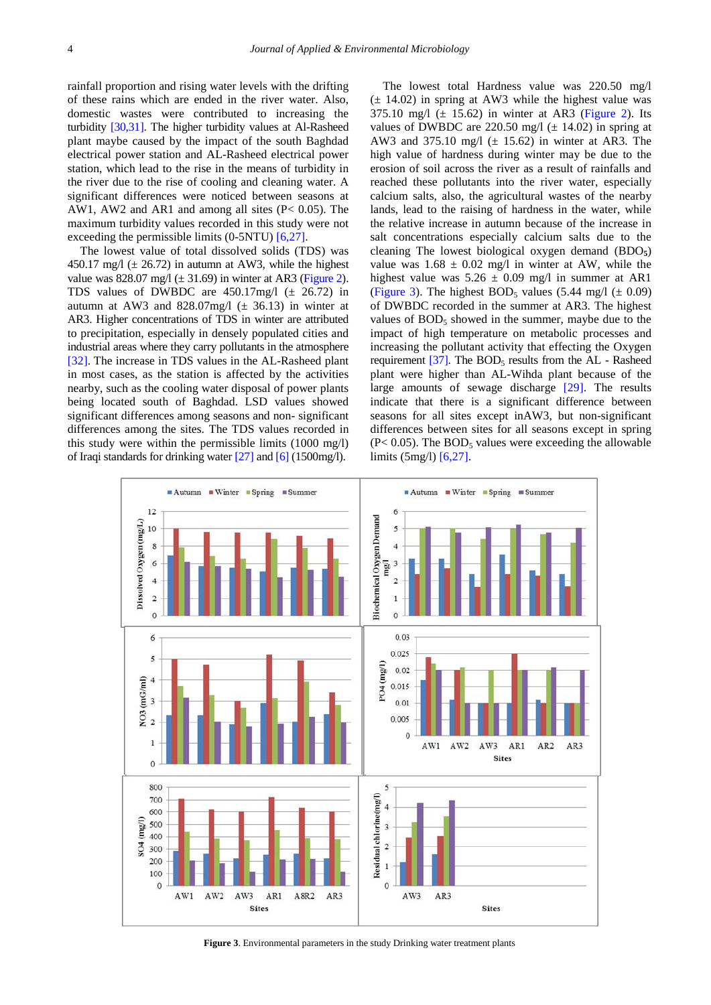rainfall proportion and rising water levels with the drifting of these rains which are ended in the river water. Also, domestic wastes were contributed to increasing the turbidity [\[30,31\].](#page-7-14) The higher turbidity values at Al-Rasheed plant maybe caused by the impact of the south Baghdad electrical power station and AL-Rasheed electrical power station, which lead to the rise in the means of turbidity in the river due to the rise of cooling and cleaning water. A significant differences were noticed between seasons at AW1, AW2 and AR1 and among all sites (P< 0.05). The maximum turbidity values recorded in this study were not exceeding the permissible limits (0-5NTU) [\[6,27\].](#page-6-3)

The lowest value of total dissolved solids (TDS) was 450.17 mg/l  $(\pm 26.72)$  in autumn at AW3, while the highest value was  $828.07$  mg/l ( $\pm$  31.69) in winter at AR3 [\(Figure 2\)](#page-2-0). TDS values of DWBDC are  $450.17$ mg/l ( $\pm$  26.72) in autumn at AW3 and 828.07mg/l  $(\pm 36.13)$  in winter at AR3. Higher concentrations of TDS in winter are attributed to precipitation, especially in densely populated cities and industrial areas where they carry pollutants in the atmosphere [\[32\].](#page-7-15) The increase in TDS values in the AL-Rasheed plant in most cases, as the station is affected by the activities nearby, such as the cooling water disposal of power plants being located south of Baghdad. LSD values showed significant differences among seasons and non- significant differences among the sites. The TDS values recorded in this study were within the permissible limits (1000 mg/l) of Iraqi standards for drinking water [\[27\]](#page-7-16) and [\[6\]](#page-6-3) (1500mg/l).

The lowest total Hardness value was 220.50 mg/l  $(\pm 14.02)$  in spring at AW3 while the highest value was  $375.10$  mg/l ( $\pm$  15.62) in winter at AR3 [\(Figure 2\)](#page-2-0). Its values of DWBDC are 220.50 mg/l  $(\pm 14.02)$  in spring at AW3 and  $375.10$  mg/l ( $\pm$  15.62) in winter at AR3. The high value of hardness during winter may be due to the erosion of soil across the river as a result of rainfalls and reached these pollutants into the river water, especially calcium salts, also, the agricultural wastes of the nearby lands, lead to the raising of hardness in the water, while the relative increase in autumn because of the increase in salt concentrations especially calcium salts due to the cleaning The lowest biological oxygen demand (BDO**5**) value was  $1.68 \pm 0.02$  mg/l in winter at AW, while the highest value was  $5.26 \pm 0.09$  mg/l in summer at AR1 [\(Figure 3\)](#page-3-0). The highest BOD<sub>5</sub> values (5.44 mg/l ( $\pm$  0.09) of DWBDC recorded in the summer at AR3. The highest values of  $BOD<sub>5</sub>$  showed in the summer, maybe due to the impact of high temperature on metabolic processes and increasing the pollutant activity that effecting the Oxygen requirement  $[37]$ . The BOD<sub>5</sub> results from the AL - Rasheed plant were higher than AL-Wihda plant because of the large amounts of sewage discharge [\[29\].](#page-7-13) The results indicate that there is a significant difference between seasons for all sites except inAW3, but non-significant differences between sites for all seasons except in spring  $(P< 0.05)$ . The BOD<sub>5</sub> values were exceeding the allowable limits (5mg/l) [\[6,27\].](#page-6-3)

<span id="page-3-0"></span>

**Figure 3**. Environmental parameters in the study Drinking water treatment plants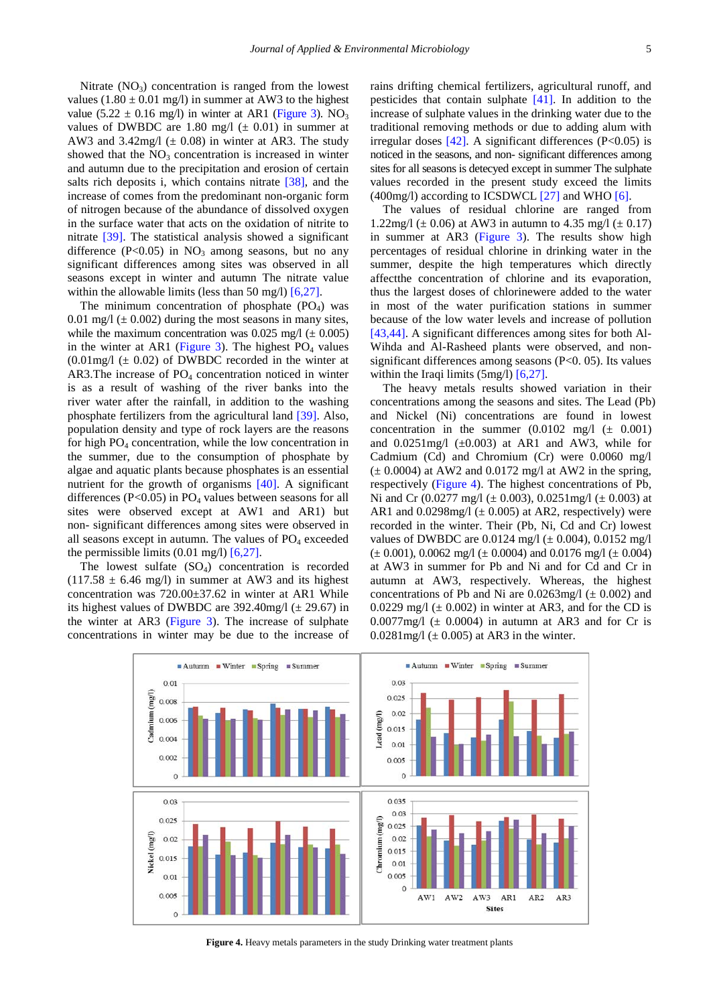Nitrate  $(NO_3)$  concentration is ranged from the lowest values  $(1.80 \pm 0.01 \text{ mg/l})$  in summer at AW3 to the highest value (5.22  $\pm$  0.16 mg/l) in winter at AR1 [\(Figure 3\)](#page-3-0). NO<sub>3</sub> values of DWBDC are 1.80 mg/l  $(\pm 0.01)$  in summer at AW3 and  $3.42 \text{mg}/1$  ( $\pm 0.08$ ) in winter at AR3. The study showed that the  $NO<sub>3</sub>$  concentration is increased in winter and autumn due to the precipitation and erosion of certain salts rich deposits i, which contains nitrate [\[38\],](#page-7-18) and the increase of comes from the predominant non-organic form of nitrogen because of the abundance of dissolved oxygen in the surface water that acts on the oxidation of nitrite to nitrate [\[39\].](#page-7-19) The statistical analysis showed a significant difference ( $P<0.05$ ) in NO<sub>3</sub> among seasons, but no any significant differences among sites was observed in all seasons except in winter and autumn The nitrate value within the allowable limits (less than 50 mg/l) [\[6,27\].](#page-6-3)

The minimum concentration of phosphate  $(PO<sub>4</sub>)$  was 0.01 mg/l ( $\pm$  0.002) during the most seasons in many sites, while the maximum concentration was 0.025 mg/l  $(\pm 0.005)$ in the winter at AR1 [\(Figure 3\)](#page-3-0). The highest  $PO<sub>4</sub>$  values  $(0.01 \text{mg/1}) \pm 0.02$  of DWBDC recorded in the winter at AR3. The increase of  $PO<sub>4</sub>$  concentration noticed in winter is as a result of washing of the river banks into the river water after the rainfall, in addition to the washing phosphate fertilizers from the agricultural land [\[39\].](#page-7-19) Also, population density and type of rock layers are the reasons for high  $PO<sub>4</sub>$  concentration, while the low concentration in the summer, due to the consumption of phosphate by algae and aquatic plants because phosphates is an essential nutrient for the growth of organisms [\[40\].](#page-7-20) A significant differences ( $P<0.05$ ) in PO<sub>4</sub> values between seasons for all sites were observed except at AW1 and AR1) but non- significant differences among sites were observed in all seasons except in autumn. The values of  $PO<sub>4</sub>$  exceeded the permissible limits  $(0.01 \text{ mg/l})$  [\[6,27\].](#page-6-3)

The lowest sulfate  $(SO<sub>4</sub>)$  concentration is recorded  $(117.58 \pm 6.46 \text{ mg/l})$  in summer at AW3 and its highest concentration was 720.00±37.62 in winter at AR1 While its highest values of DWBDC are  $392.40$ mg/l ( $\pm 29.67$ ) in the winter at AR3 [\(Figure 3\)](#page-3-0). The increase of sulphate concentrations in winter may be due to the increase of rains drifting chemical fertilizers, agricultural runoff, and pesticides that contain sulphate [\[41\].](#page-7-21) In addition to the increase of sulphate values in the drinking water due to the traditional removing methods or due to adding alum with irregular doses  $[42]$ . A significant differences  $(P<0.05)$  is noticed in the seasons, and non- significant differences among sites for all seasons is detecyed except in summer The sulphate values recorded in the present study exceed the limits  $(400mg/l)$  according to ICSDWCL  $[27]$  and WHO  $[6]$ .

The values of residual chlorine are ranged from 1.22mg/l ( $\pm$  0.06) at AW3 in autumn to 4.35 mg/l ( $\pm$  0.17) in summer at AR3 [\(Figure 3\)](#page-3-0). The results show high percentages of residual chlorine in drinking water in the summer, despite the high temperatures which directly affectthe concentration of chlorine and its evaporation, thus the largest doses of chlorinewere added to the water in most of the water purification stations in summer because of the low water levels and increase of pollution [\[43,44\].](#page-7-23) A significant differences among sites for both Al-Wihda and Al-Rasheed plants were observed, and nonsignificant differences among seasons (P<0. 05). Its values within the Iraqi limits (5mg/l) [\[6,27\].](#page-6-3)

The heavy metals results showed variation in their concentrations among the seasons and sites. The Lead (Pb) and Nickel (Ni) concentrations are found in lowest concentration in the summer  $(0.0102 \text{ mg}/1 \text{ (}\pm \text{ 0.001})$ and  $0.0251$ mg/l  $(\pm 0.003)$  at AR1 and AW3, while for Cadmium (Cd) and Chromium (Cr) were 0.0060 mg/l  $(± 0.0004)$  at AW2 and 0.0172 mg/l at AW2 in the spring, respectively [\(Figure 4\)](#page-4-0). The highest concentrations of Pb, Ni and Cr (0.0277 mg/l ( $\pm$  0.003), 0.0251 mg/l ( $\pm$  0.003) at AR1 and  $0.0298$ mg/l ( $\pm$  0.005) at AR2, respectively) were recorded in the winter. Their (Pb, Ni, Cd and Cr) lowest values of DWBDC are  $0.0124 \text{ mg}/1 (\pm 0.004)$ ,  $0.0152 \text{ mg}/1$  $(\pm 0.001)$ , 0.0062 mg/l ( $\pm 0.0004$ ) and 0.0176 mg/l ( $\pm 0.004$ ) at AW3 in summer for Pb and Ni and for Cd and Cr in autumn at AW3, respectively. Whereas, the highest concentrations of Pb and Ni are  $0.0263$ mg/l ( $\pm 0.002$ ) and 0.0229 mg/l  $(\pm 0.002)$  in winter at AR3, and for the CD is  $0.0077$ mg/l ( $\pm$  0.0004) in autumn at AR3 and for Cr is 0.0281mg/l ( $\pm$  0.005) at AR3 in the winter.

<span id="page-4-0"></span>

**Figure 4.** Heavy metals parameters in the study Drinking water treatment plants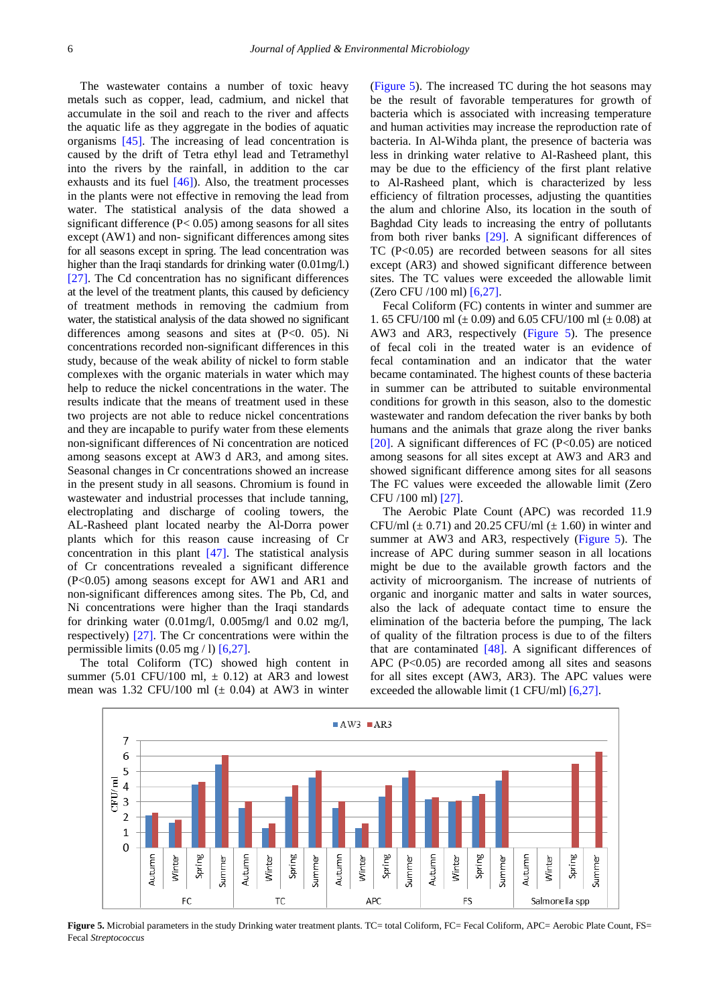The wastewater contains a number of toxic heavy metals such as copper, lead, cadmium, and nickel that accumulate in the soil and reach to the river and affects the aquatic life as they aggregate in the bodies of aquatic organisms [\[45\].](#page-7-24) The increasing of lead concentration is caused by the drift of Tetra ethyl lead and Tetramethyl into the rivers by the rainfall, in addition to the car exhausts and its fuel [\[46\]\)](#page-7-25). Also, the treatment processes in the plants were not effective in removing the lead from water. The statistical analysis of the data showed a significant difference  $(P< 0.05)$  among seasons for all sites except (AW1) and non- significant differences among sites for all seasons except in spring. The lead concentration was higher than the Iraqi standards for drinking water (0.01mg/l.) [\[27\].](#page-7-16) The Cd concentration has no significant differences at the level of the treatment plants, this caused by deficiency of treatment methods in removing the cadmium from water, the statistical analysis of the data showed no significant differences among seasons and sites at  $(P<0. 05)$ . Ni concentrations recorded non-significant differences in this study, because of the weak ability of nickel to form stable complexes with the organic materials in water which may help to reduce the nickel concentrations in the water. The results indicate that the means of treatment used in these two projects are not able to reduce nickel concentrations and they are incapable to purify water from these elements non-significant differences of Ni concentration are noticed among seasons except at AW3 d AR3, and among sites. Seasonal changes in Cr concentrations showed an increase in the present study in all seasons. Chromium is found in wastewater and industrial processes that include tanning, electroplating and discharge of cooling towers, the AL-Rasheed plant located nearby the Al-Dorra power plants which for this reason cause increasing of Cr concentration in this plant [\[47\].](#page-7-26) The statistical analysis of Cr concentrations revealed a significant difference (P<0.05) among seasons except for AW1 and AR1 and non-significant differences among sites. The Pb, Cd, and Ni concentrations were higher than the Iraqi standards for drinking water (0.01mg/l, 0.005mg/l and 0.02 mg/l, respectively) [\[27\].](#page-7-16) The Cr concentrations were within the permissible limits  $(0.05 \text{ mg}/1)$  [\[6,27\].](#page-6-3)

The total Coliform (TC) showed high content in summer (5.01 CFU/100 ml,  $\pm$  0.12) at AR3 and lowest mean was 1.32 CFU/100 ml  $(\pm 0.04)$  at AW3 in winter [\(Figure 5\)](#page-5-0). The increased TC during the hot seasons may be the result of favorable temperatures for growth of bacteria which is associated with increasing temperature and human activities may increase the reproduction rate of bacteria. In Al-Wihda plant, the presence of bacteria was less in drinking water relative to Al-Rasheed plant, this may be due to the efficiency of the first plant relative to Al-Rasheed plant, which is characterized by less efficiency of filtration processes, adjusting the quantities the alum and chlorine Also, its location in the south of Baghdad City leads to increasing the entry of pollutants from both river banks [\[29\].](#page-7-13) A significant differences of TC (P<0.05) are recorded between seasons for all sites except (AR3) and showed significant difference between sites. The TC values were exceeded the allowable limit (Zero CFU /100 ml) [\[6,27\].](#page-6-3)

Fecal Coliform (FC) contents in winter and summer are 1. 65 CFU/100 ml ( $\pm$  0.09) and 6.05 CFU/100 ml ( $\pm$  0.08) at AW3 and AR3, respectively [\(Figure 5\)](#page-5-0). The presence of fecal coli in the treated water is an evidence of fecal contamination and an indicator that the water became contaminated. The highest counts of these bacteria in summer can be attributed to suitable environmental conditions for growth in this season, also to the domestic wastewater and random defecation the river banks by both humans and the animals that graze along the river banks [\[20\].](#page-7-9) A significant differences of FC (P<0.05) are noticed among seasons for all sites except at AW3 and AR3 and showed significant difference among sites for all seasons The FC values were exceeded the allowable limit (Zero CFU /100 ml) [\[27\].](#page-7-16)

The Aerobic Plate Count (APC) was recorded 11.9 CFU/ml  $(\pm 0.71)$  and 20.25 CFU/ml  $(\pm 1.60)$  in winter and summer at AW3 and AR3, respectively [\(Figure 5\)](#page-5-0). The increase of APC during summer season in all locations might be due to the available growth factors and the activity of microorganism. The increase of nutrients of organic and inorganic matter and salts in water sources, also the lack of adequate contact time to ensure the elimination of the bacteria before the pumping, The lack of quality of the filtration process is due to of the filters that are contaminated [\[48\].](#page-7-27) A significant differences of APC (P<0.05) are recorded among all sites and seasons for all sites except (AW3, AR3). The APC values were exceeded the allowable limit (1 CFU/ml) [\[6,27\].](#page-6-3)

<span id="page-5-0"></span>

Figure 5. Microbial parameters in the study Drinking water treatment plants. TC= total Coliform, FC= Fecal Coliform, APC= Aerobic Plate Count, FS= Fecal *Streptococcus*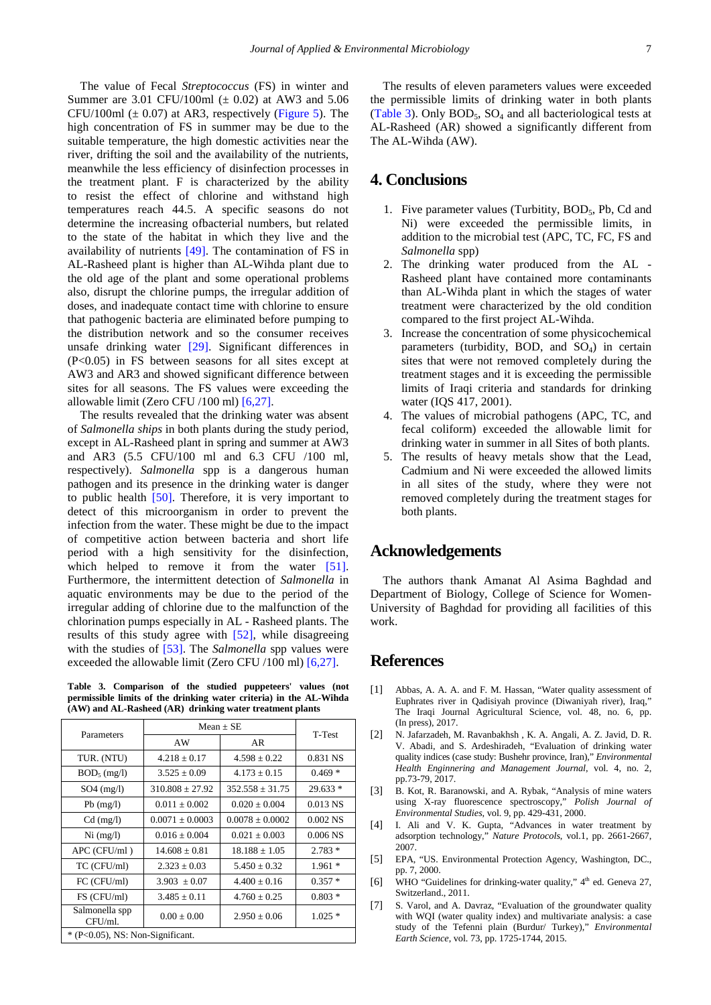The value of Fecal *Streptococcus* (FS) in winter and Summer are 3.01 CFU/100ml  $(\pm 0.02)$  at AW3 and 5.06 CFU/100ml  $(\pm 0.07)$  at AR3, respectively [\(Figure 5\)](#page-5-0). The high concentration of FS in summer may be due to the suitable temperature, the high domestic activities near the river, drifting the soil and the availability of the nutrients, meanwhile the less efficiency of disinfection processes in the treatment plant. F is characterized by the ability to resist the effect of chlorine and withstand high temperatures reach 44.5. A specific seasons do not determine the increasing ofbacterial numbers, but related to the state of the habitat in which they live and the availability of nutrients [\[49\].](#page-7-28) The contamination of FS in AL-Rasheed plant is higher than AL-Wihda plant due to the old age of the plant and some operational problems also, disrupt the chlorine pumps, the irregular addition of doses, and inadequate contact time with chlorine to ensure that pathogenic bacteria are eliminated before pumping to the distribution network and so the consumer receives unsafe drinking water [\[29\].](#page-7-13) Significant differences in (P<0.05) in FS between seasons for all sites except at AW3 and AR3 and showed significant difference between sites for all seasons. The FS values were exceeding the allowable limit (Zero CFU /100 ml) [\[6,27\].](#page-6-3)

The results revealed that the drinking water was absent of *Salmonella ships* in both plants during the study period, except in AL-Rasheed plant in spring and summer at AW3 and AR3 (5.5 CFU/100 ml and 6.3 CFU /100 ml, respectively). *Salmonella* spp is a dangerous human pathogen and its presence in the drinking water is danger to public health [\[50\].](#page-8-0) Therefore, it is very important to detect of this microorganism in order to prevent the infection from the water. These might be due to the impact of competitive action between bacteria and short life period with a high sensitivity for the disinfection, which helped to remove it from the water [\[51\].](#page-8-1) Furthermore, the intermittent detection of *Salmonella* in aquatic environments may be due to the period of the irregular adding of chlorine due to the malfunction of the chlorination pumps especially in AL - Rasheed plants. The results of this study agree with [\[52\],](#page-8-2) while disagreeing with the studies of [\[53\].](#page-8-3) The *Salmonella* spp values were exceeded the allowable limit (Zero CFU /100 ml) [\[6,27\].](#page-6-3)

**Table 3. Comparison of the studied puppeteers' values (not permissible limits of the drinking water criteria) in the AL-Wihda (AW) and AL-Rasheed (AR) drinking water treatment plants**

<span id="page-6-5"></span>

| Parameters                         | $Mean + SE$         | T-Test              |            |  |  |
|------------------------------------|---------------------|---------------------|------------|--|--|
|                                    | AW                  | AR                  |            |  |  |
| TUR. (NTU)                         | $4.218 + 0.17$      | $4.598 + 0.22$      | 0.831 NS   |  |  |
| $BOD_5$ (mg/l)                     | $3.525 + 0.09$      | $4.173 + 0.15$      | $0.469*$   |  |  |
| $SO4 \ (mg/l)$                     | $310.808 \pm 27.92$ | $352.558 \pm 31.75$ | $29.633*$  |  |  |
| $Pb$ (mg/l)                        | $0.011 + 0.002$     | $0.020 + 0.004$     | 0.013 NS   |  |  |
| $Cd$ (mg/l)                        | $0.0071 + 0.0003$   | $0.0078 + 0.0002$   | $0.002$ NS |  |  |
| $Ni$ (mg/l)                        | $0.016 \pm 0.004$   | $0.021 \pm 0.003$   | $0.006$ NS |  |  |
| $APC$ (CFU/ml)                     | $14.608 + 0.81$     | $18.188 + 1.05$     | $2.783*$   |  |  |
| TC (CFU/ml)                        | $2.323 + 0.03$      | $5.450 \pm 0.32$    | $1.961*$   |  |  |
| FC (CFU/ml)                        | $3.903 \pm 0.07$    | $4.400 + 0.16$      | $0.357*$   |  |  |
| FS (CFU/ml)                        | $3.485 + 0.11$      | $4.760 + 0.25$      | $0.803*$   |  |  |
| Salmonella spp<br>CFU/ml.          | $0.00 + 0.00$       | $2.950 + 0.06$      | $1.025*$   |  |  |
| $*(P<0.05)$ , NS: Non-Significant. |                     |                     |            |  |  |

The results of eleven parameters values were exceeded the permissible limits of drinking water in both plants [\(Table 3\)](#page-6-5). Only  $BOD_5$ ,  $SO_4$  and all bacteriological tests at AL-Rasheed (AR) showed a significantly different from The AL-Wihda (AW).

## **4. Conclusions**

- 1. Five parameter values (Turbitity,  $BOD<sub>5</sub>$ , Pb, Cd and Ni) were exceeded the permissible limits, in addition to the microbial test (APC, TC, FC, FS and *Salmonella* spp)
- 2. The drinking water produced from the AL Rasheed plant have contained more contaminants than AL-Wihda plant in which the stages of water treatment were characterized by the old condition compared to the first project AL-Wihda.
- 3. Increase the concentration of some physicochemical parameters (turbidity, BOD, and  $SO<sub>4</sub>$ ) in certain sites that were not removed completely during the treatment stages and it is exceeding the permissible limits of Iraqi criteria and standards for drinking water (IQS 417, 2001).
- 4. The values of microbial pathogens (APC, TC, and fecal coliform) exceeded the allowable limit for drinking water in summer in all Sites of both plants.
- 5. The results of heavy metals show that the Lead, Cadmium and Ni were exceeded the allowed limits in all sites of the study, where they were not removed completely during the treatment stages for both plants.

## **Acknowledgements**

The authors thank Amanat Al Asima Baghdad and Department of Biology, College of Science for Women-University of Baghdad for providing all facilities of this work.

## **References**

- <span id="page-6-0"></span>[1] Abbas, A. A. A. and F. M. Hassan, "Water quality assessment of Euphrates river in Qadisiyah province (Diwaniyah river), Iraq," The Iraqi Journal Agricultural Science, vol. 48, no. 6, pp. (In press), 2017.
- <span id="page-6-1"></span>[2] N. Jafarzadeh, M. Ravanbakhsh , K. A. Angali, A. Z. Javid, D. R. V. Abadi, and S. Ardeshiradeh, "Evaluation of drinking water quality indices (case study: Bushehr province, Iran)," *Environmental Health Enginnering and Management Journal*, vol. 4, no. 2, pp.73-79, 2017.
- [3] B. Kot, R. Baranowski, and A. Rybak, "Analysis of mine waters using X-ray fluorescence spectroscopy," *Polish Journal of Environmental Studies*, vol. 9, pp. 429-431, 2000.
- <span id="page-6-2"></span>[4] I. Ali and V. K. Gupta, "Advances in water treatment by adsorption technology," *Nature Protocols*, vol.1, pp. 2661-2667, 2007.
- [5] EPA, "US. Environmental Protection Agency, Washington, DC., pp. 7, 2000.
- <span id="page-6-3"></span>[6] WHO "Guidelines for drinking-water quality," 4<sup>th</sup> ed. Geneva 27, Switzerland., 2011.
- <span id="page-6-4"></span>[7] S. Varol, and A. Davraz, "Evaluation of the groundwater quality with WQI (water quality index) and multivariate analysis: a case study of the Tefenni plain (Burdur/ Turkey)," *Environmental Earth Science*, vol. 73, pp. 1725-1744, 2015.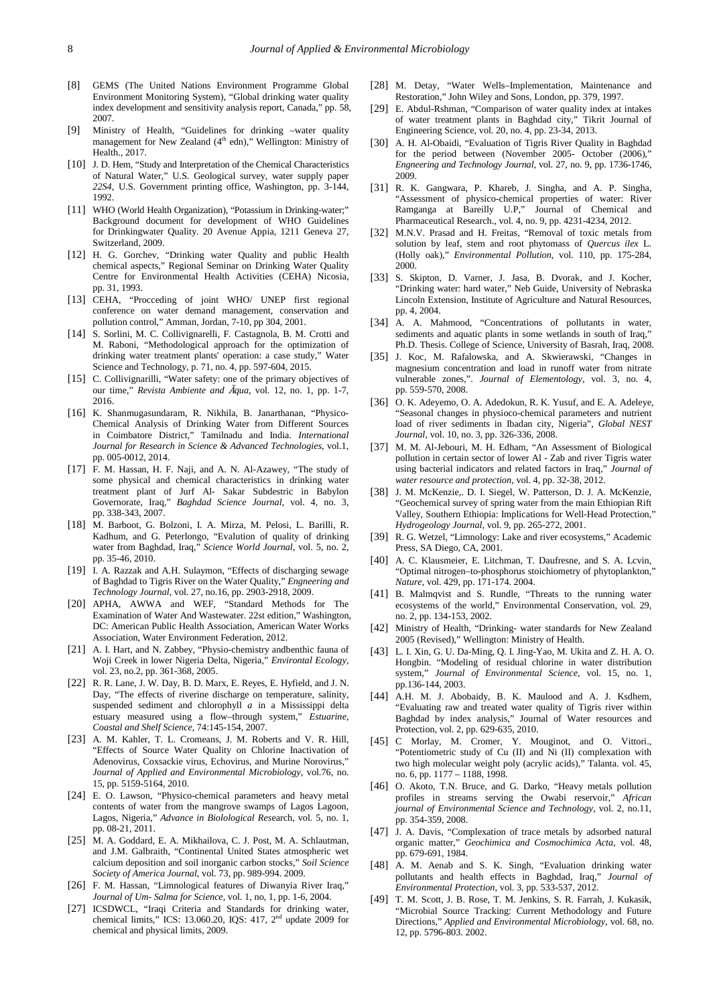- <span id="page-7-1"></span>[8] GEMS (The United Nations Environment Programme Global Environment Monitoring System), "Global drinking water quality index development and sensitivity analysis report, Canada," pp. 58, 2007.
- [9] Ministry of Health, "Guidelines for drinking –water quality management for New Zealand (4<sup>th</sup> edn)," Wellington: Ministry of Health., 2017.
- <span id="page-7-0"></span>[10] J. D. Hem, "Study and Interpretation of the Chemical Characteristics of Natural Water," U.S. Geological survey, water supply paper *22S4,* U.S. Government printing office, Washington, pp. 3-144, 1992.
- [11] WHO (World Health Organization), "Potassium in Drinking-water;" Background document for development of WHO Guidelines for Drinkingwater Quality. 20 Avenue Appia, 1211 Geneva 27, Switzerland, 2009.
- <span id="page-7-2"></span>[12] H. G. Gorchev, "Drinking water Quality and public Health chemical aspects," Regional Seminar on Drinking Water Quality Centre for Environmental Health Activities (CEHA) Nicosia, pp. 31, 1993.
- [13] CEHA, "Procceding of joint WHO/ UNEP first regional conference on water demand management, conservation and pollution control," Amman, Jordan, 7-10, pp 304, 2001.
- <span id="page-7-3"></span>[14] S. Sorlini, M. C. Collivignarelli, F. Castagnola, B. M. Crotti and M. Raboni, "Methodological approach for the optimization of drinking water treatment plants' operation: a case study," Water Science and Technology, p. 71, no. 4, pp. 597-604, 2015.
- <span id="page-7-4"></span>[15] C. Collivignarilli, "Water safety: one of the primary objectives of our time," *Revista Ambiente and Åqua*, vol. 12, no. 1, pp. 1-7, 2016.
- <span id="page-7-5"></span>[16] K. Shanmugasundaram, R. Nikhila, B. Janarthanan, "Physico-Chemical Analysis of Drinking Water from Different Sources in Coimbatore District," Tamilnadu and India. *International Journal for Research in Science & Advanced Technologies*, vol.1, pp. 005-0012, 2014.
- <span id="page-7-6"></span>[17] F. M. Hassan, H. F. Naji, and A. N. Al-Azawey, "The study of some physical and chemical characteristics in drinking water treatment plant of Jurf Al- Sakar Subdestric in Babylon Governorate, Iraq," *Baghdad Science Journal*, vol. 4, no. 3, pp. 338-343, 2007.
- <span id="page-7-7"></span>[18] M. Barboot, G. Bolzoni, I. A. Mirza, M. Pelosi, L. Barilli, R. Kadhum, and G. Peterlongo, "Evalution of quality of drinking water from Baghdad, Iraq," *Science World Journal*, vol. 5, no. 2, pp. 35-46, 2010.
- <span id="page-7-8"></span>[19] I. A. Razzak and A.H. Sulaymon, "Effects of discharging sewage of Baghdad to Tigris River on the Water Quality," *Engneering and Technology Journal*, vol. 27, no.16, pp. 2903-2918, 2009.
- <span id="page-7-9"></span>[20] APHA, AWWA and WEF, "Standard Methods for The Examination of Water And Wastewater. 22st edition," Washington, DC: American Public Health Association, American Water Works Association, Water Environment Federation, 2012.
- <span id="page-7-10"></span>[21] A. I. Hart, and N. Zabbey, "Physio-chemistry andbenthic fauna of Woji Creek in lower Nigeria Delta, Nigeria," *Environtal Ecology*, vol. 23, no.2, pp. 361-368, 2005.
- [22] R. R. Lane, J. W. Day, B. D. Marx, E. Reyes, E. Hyfield, and J. N. Day, "The effects of riverine discharge on temperature, salinity, suspended sediment and chlorophyll *a* in a Mississippi delta estuary measured using a flow–through system," *Estuarine, Coastal and Shelf Science*, 74:145-154, 2007.
- [23] A. M. Kahler, T. L. Cromeans, J. M. Roberts and V. R. Hill, "Effects of Source Water Quality on Chlorine Inactivation of Adenovirus, Coxsackie virus, Echovirus, and Murine Norovirus," *Journal of Applied and Environmental Microbiology*, vol.76, no. 15, pp. 5159-5164, 2010.
- [24] E. O. Lawson, "Physico-chemical parameters and heavy metal contents of water from the mangrove swamps of Lagos Lagoon, Lagos, Nigeria," *Advance in Biolological Res*earch, vol. 5, no. 1, pp. 08-21, 2011.
- <span id="page-7-11"></span>[25] M. A. Goddard, E. A. Mikhailova, C. J. Post, M. A. Schlautman, and J.M. Galbraith, "Continental United States atmospheric wet calcium deposition and soil inorganic carbon stocks," *Soil Science Society of America Journal*, vol. 73, pp. 989-994. 2009.
- [26] F. M. Hassan, "Limnological features of Diwanyia River Iraq," *Journal of Um- Salma for Science*, vol. 1, no, 1, pp. 1-6, 2004.
- <span id="page-7-16"></span>[27] ICSDWCL, "Iraqi Criteria and Standards for drinking water, chemical limits," ICS: 13.060.20, IQS: 417, 2nd update 2009 for chemical and physical limits, 2009.
- <span id="page-7-12"></span>[28] M. Detay, "Water Wells–Implementation, Maintenance and Restoration," John Wiley and Sons, London, pp. 379, 1997.
- <span id="page-7-13"></span>[29] E. Abdul-Rshman, "Comparison of water quality index at intakes of water treatment plants in Baghdad city," Tikrit Journal of Engineering Science, vol. 20, no. 4, pp. 23-34, 2013.
- <span id="page-7-14"></span>[30] A. H. Al-Obaidi, "Evaluation of Tigris River Quality in Baghdad for the period between (November 2005- October (2006),' *Engneering and Technology Journal*, vol. 27, no. 9, pp. 1736-1746, 2009.
- [31] R. K. Gangwara, P. Khareb, J. Singha, and A. P. Singha, "Assessment of physico-chemical properties of water: River Ramganga at Bareilly U.P," Journal of Chemical and Pharmaceutical Research., vol. 4, no. 9, pp. 4231-4234, 2012.
- <span id="page-7-15"></span>[32] M.N.V. Prasad and H. Freitas, "Removal of toxic metals from solution by leaf, stem and root phytomass of *Quercus ilex* L. (Holly oak)," *Environmental Pollution*, vol. 110, pp. 175-284, 2000.
- [33] S. Skipton, D. Varner, J. Jasa, B. Dvorak, and J. Kocher, "Drinking water: hard water," Neb Guide, University of Nebraska Lincoln Extension, Institute of Agriculture and Natural Resources, pp. 4, 2004.
- [341 A. A. Mahmood, "Concentrations of pollutants in water, sediments and aquatic plants in some wetlands in south of Iraq, Ph.D. Thesis. College of Science, University of Basrah, Iraq, 2008.
- [35] J. Koc, M. Rafalowska, and A. Skwierawski, "Changes in magnesium concentration and load in runoff water from nitrate vulnerable zones,". *Journal of Elementology*, vol. 3, no. 4, pp. 559-570, 2008.
- [36] O. K. Adeyemo, O. A. Adedokun, R. K. Yusuf, and E. A. Adeleye, "Seasonal changes in physioco-chemical parameters and nutrient load of river sediments in Ibadan city, Nigeria", *Global NEST Journal*, vol. 10, no. 3, pp. 326-336, 2008.
- <span id="page-7-17"></span>[37] M. M. Al-Jebouri, M. H. Edham, "An Assessment of Biological pollution in certain sector of lower Al - Zab and river Tigris water using bacterial indicators and related factors in Iraq," *Journal of water resource and protection*, vol. 4, pp. 32-38, 2012.
- <span id="page-7-18"></span>[38] J. M. McKenzie,. D. I. Siegel, W. Patterson, D. J. A. McKenzie, "Geochemical survey of spring water from the main Ethiopian Rift Valley, Southern Ethiopia: Implications for Well-Head Protection," *Hydrogeology Journal,* vol. 9, pp. 265-272, 2001.
- <span id="page-7-19"></span>[39] R. G. Wetzel, "Limnology: Lake and river ecosystems," Academic Press, SA Diego, CA, 2001.
- <span id="page-7-20"></span>[40] A. C. Klausmeier, E. Litchman, T. Daufresne, and S. A. Lcvin, "Optimal nitrogen–to-phosphorus stoichiometry of phytoplankton," *Nature*, vol. 429, pp. 171-174. 2004.
- <span id="page-7-21"></span>[41] B. Malmqvist and S. Rundle, "Threats to the running water ecosystems of the world," Environmental Conservation, vol. 29, no. 2, pp. 134-153, 2002.
- <span id="page-7-22"></span>[42] Ministry of Health, "Drinking- water standards for New Zealand 2005 (Revised)," Wellington: Ministry of Health.
- <span id="page-7-23"></span>[43] L. I. Xin, G. U. Da-Ming, Q. I. Jing-Yao, M. Ukita and Z. H. A. O. Hongbin. "Modeling of residual chlorine in water distribution system," *Journal of Environmental Science*, vol. 15, no. 1, pp.136-144, 2003.
- [44] A.H. M. J. Abobaidy, B. K. Maulood and A. J. Ksdhem, "Evaluating raw and treated water quality of Tigris river within Baghdad by index analysis," Journal of Water resources and Protection, vol. 2, pp. 629-635, 2010.
- <span id="page-7-24"></span>[45] C Morlay, M. Cromer, Y. Mouginot, and O. Vittori., "Potentiometric study of Cu (II) and Ni (II) complexation with two high molecular weight poly (acrylic acids)," Talanta. vol. 45, no. 6, pp. 1177 – 1188, 1998.
- <span id="page-7-25"></span>[46] O. Akoto, T.N. Bruce, and G. Darko, "Heavy metals pollution profiles in streams serving the Owabi reservoir," *African journal of Environmental Science and Technology*, vol. 2, no.11, pp. 354-359, 2008.
- <span id="page-7-26"></span>[47] J. A. Davis, "Complexation of trace metals by adsorbed natural organic matter," *Geochimica and Cosmochimica Acta*, vol. 48, pp. 679-691, 1984.
- <span id="page-7-27"></span>[48] A. M. Aenab and S. K. Singh, "Evaluation drinking water pollutants and health effects in Baghdad, Iraq," *Journal of Environmental Protection*, vol. 3, pp. 533-537, 2012.
- <span id="page-7-28"></span>[49] T. M. Scott, J. B. Rose, T. M. Jenkins, S. R. Farrah, J. Kukasik, "Microbial Source Tracking: Current Methodology and Future Directions," *Applied and Environmental Microbiology*, vol. 68, no. 12, pp. 5796-803. 2002.